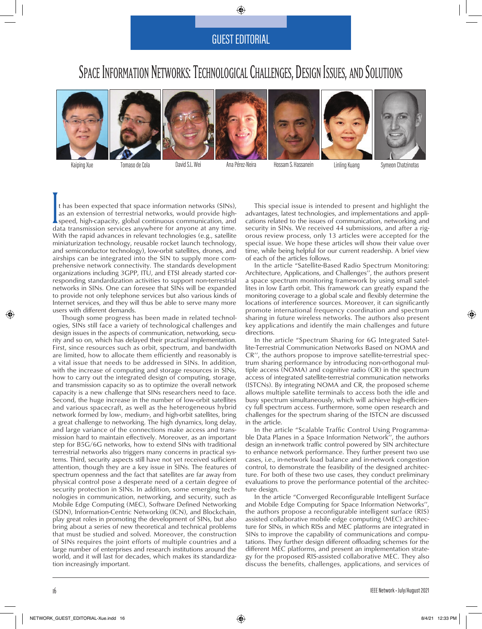## GUEST EDITORIAL

## SPACE INFORMATION NETWORKS: TECHNOLOGICAL CHALLENGES, DESIGN ISSUES, AND SOLUTIONS













Kaiping Xue Tomaso de Cola David S.L. Wei Ana Pérez-Neira Hossam S. Hassanein Linling Kuang Symeon Chatzinotas

It has been expected that space information networks (SINs), as an extension of terrestrial networks, would provide highspeed, high-capacity, global continuous communication, and data transmission services anywhere for anyone at any time. With the rapid advances in relevant technologies (e.g., satellite miniaturization technology, reusable rocket launch technology, and semiconductor technology), low-orbit satellites, drones, and airships can be integrated into the SIN to supply more comprehensive network connectivity. The standards development organizations including 3GPP, ITU, and ETSI already started corresponding standardization activities to support non-terrestrial networks in SINs. One can foresee that SINs will be expanded to provide not only telephone services but also various kinds of Internet services, and they will thus be able to serve many more users with different demands.

Though some progress has been made in related technologies, SINs still face a variety of technological challenges and design issues in the aspects of communication, networking, security and so on, which has delayed their practical implementation. First, since resources such as orbit, spectrum, and bandwidth are limited, how to allocate them efficiently and reasonably is a vital issue that needs to be addressed in SINs. In addition, with the increase of computing and storage resources in SINs, how to carry out the integrated design of computing, storage, and transmission capacity so as to optimize the overall network capacity is a new challenge that SINs researchers need to face. Second, the huge increase in the number of low-orbit satellites and various spacecraft, as well as the heterogeneous hybrid network formed by low-, medium-, and high-orbit satellites, bring a great challenge to networking. The high dynamics, long delay, and large variance of the connections make access and transmission hard to maintain effectively. Moreover, as an important step for B5G/6G networks, how to extend SINs with traditional terrestrial networks also triggers many concerns in practical systems. Third, security aspects still have not yet received sufficient attention, though they are a key issue in SINs. The features of spectrum openness and the fact that satellites are far away from physical control pose a desperate need of a certain degree of security protection in SINs. In addition, some emerging technologies in communication, networking, and security, such as Mobile Edge Computing (MEC), Software Defined Networking (SDN), Information-Centric Networking (ICN), and Blockchain, play great roles in promoting the development of SINs, but also bring about a series of new theoretical and technical problems that must be studied and solved. Moreover, the construction of SINs requires the joint efforts of multiple countries and a large number of enterprises and research institutions around the world, and it will last for decades, which makes its standardization increasingly important.

This special issue is intended to present and highlight the advantages, latest technologies, and implementations and applications related to the issues of communication, networking and security in SINs. We received 44 submissions, and after a rigorous review process, only 13 articles were accepted for the special issue. We hope these articles will show their value over time, while being helpful for our current readership. A brief view of each of the articles follows.

In the article "Satellite-Based Radio Spectrum Monitoring: Architecture, Applications, and Challenges'', the authors present a space spectrum monitoring framework by using small satellites in low Earth orbit. This framework can greatly expand the monitoring coverage to a global scale and flexibly determine the locations of interference sources. Moreover, it can significantly promote international frequency coordination and spectrum sharing in future wireless networks. The authors also present key applications and identify the main challenges and future directions.

In the article "Spectrum Sharing for 6G Integrated Satellite-Terrestrial Communication Networks Based on NOMA and CR'', the authors propose to improve satellite-terrestrial spectrum sharing performance by introducing non-orthogonal multiple access (NOMA) and cognitive radio (CR) in the spectrum access of integrated satellite-terrestrial communication networks (ISTCNs). By integrating NOMA and CR, the proposed scheme allows multiple satellite terminals to access both the idle and busy spectrum simultaneously, which will achieve high-efficiency full spectrum access. Furthermore, some open research and challenges for the spectrum sharing of the ISTCN are discussed in the article.

In the article "Scalable Traffic Control Using Programmable Data Planes in a Space Information Network", the authors design an in-network traffic control powered by SIN architecture to enhance network performance. They further present two use cases, i.e., in-network load balance and in-network congestion control, to demonstrate the feasibility of the designed architecture. For both of these two use cases, they conduct preliminary evaluations to prove the performance potential of the architecture design.

In the article "Converged Reconfigurable Intelligent Surface and Mobile Edge Computing for Space Information Networks" the authors propose a reconfigurable intelligent surface (RIS) assisted collaborative mobile edge computing (MEC) architecture for SINs, in which RISs and MEC platforms are integrated in SINs to improve the capability of communications and computations. They further design different offloading schemes for the different MEC platforms, and present an implementation strategy for the proposed RIS-assisted collaborative MEC. They also discuss the benefits, challenges, applications, and services of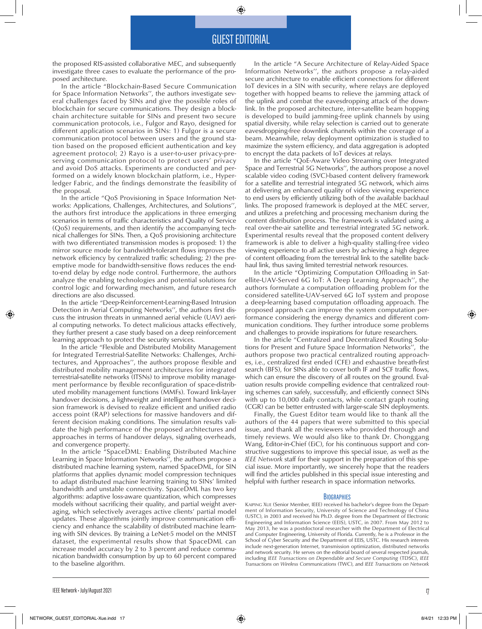## GUEST EDITORIAL

the proposed RIS-assisted collaborative MEC, and subsequently investigate three cases to evaluate the performance of the proposed architecture.

In the article "Blockchain-Based Secure Communication for Space Information Networks'', the authors investigate several challenges faced by SINs and give the possible roles of blockchain for secure communications. They design a blockchain architecture suitable for SINs and present two secure communication protocols, i.e., Fulgor and Rayo, designed for different application scenarios in SINs: 1) Fulgor is a secure communication protocol between users and the ground station based on the proposed efficient authentication and key agreement protocol; 2) Rayo is a user-to-user privacy-preserving communication protocol to protect users' privacy and avoid DoS attacks. Experiments are conducted and performed on a widely known blockchain platform, i.e., Hyperledger Fabric, and the findings demonstrate the feasibility of the proposal.

In the article "QoS Provisioning in Space Information Networks: Applications, Challenges, Architectures, and Solutions'', the authors first introduce the applications in three emerging scenarios in terms of traffic characteristics and Quality of Service (QoS) requirements, and then identify the accompanying technical challenges for SINs. Then, a QoS provisioning architecture with two differentiated transmission modes is proposed: 1) the mirror source mode for bandwidth-tolerant flows improves the network efficiency by centralized traffic scheduling; 2) the preemptive mode for bandwidth-sensitive flows reduces the endto-end delay by edge node control. Furthermore, the authors analyze the enabling technologies and potential solutions for control logic and forwarding mechanism, and future research directions are also discussed.

In the article "Deep-Reinforcement-Learning-Based Intrusion Detection in Aerial Computing Networks'', the authors first discuss the intrusion threats in unmanned aerial vehicle (UAV) aerial computing networks. To detect malicious attacks effectively, they further present a case study based on a deep reinforcement learning approach to protect the security services.

In the article "Flexible and Distributed Mobility Management for Integrated Terrestrial-Satellite Networks: Challenges, Architectures, and Approaches'', the authors propose flexible and distributed mobility management architectures for integrated terrestrial-satellite networks (ITSNs) to improve mobility management performance by flexible reconfiguration of space-distributed mobility management functions (MMFs). Toward link-layer handover decisions, a lightweight and intelligent handover decision framework is devised to realize efficient and unified radio access point (RAP) selections for massive handovers and different decision making conditions. The simulation results validate the high performance of the proposed architectures and approaches in terms of handover delays, signaling overheads, and convergence property.

In the article "SpaceDML: Enabling Distributed Machine Learning in Space Information Networks'', the authors propose a distributed machine learning system, named SpaceDML, for SIN platforms that applies dynamic model compression techniques to adapt distributed machine learning training to SINs' limited bandwidth and unstable connectivity. SpaceDML has two key algorithms: adaptive loss-aware quantization, which compresses models without sacrificing their quality, and partial weight averaging, which selectively averages active clients' partial model updates. These algorithms jointly improve communication efficiency and enhance the scalability of distributed machine learning with SIN devices. By training a LeNet-5 model on the MNIST dataset, the experimental results show that SpaceDML can increase model accuracy by 2 to 3 percent and reduce communication bandwidth consumption by up to 60 percent compared to the baseline algorithm.

In the article "A Secure Architecture of Relay-Aided Space Information Networks'', the authors propose a relay-aided secure architecture to enable efficient connections for different IoT devices in a SIN with security, where relays are deployed together with hopped beams to relieve the jamming attack of the uplink and combat the eavesdropping attack of the downlink. In the proposed architecture, inter-satellite beam hopping is developed to build jamming-free uplink channels by using spatial diversity, while relay selection is carried out to generate eavesdropping-free downlink channels within the coverage of a beam. Meanwhile, relay deployment optimization is studied to maximize the system efficiency, and data aggregation is adopted to encrypt the data packets of IoT devices at relays.

In the article "QoE-Aware Video Streaming over Integrated Space and Terrestrial 5G Networks'', the authors propose a novel scalable video coding (SVC)-based content delivery framework for a satellite and terrestrial integrated 5G network, which aims at delivering an enhanced quality of video viewing experience to end users by efficiently utilizing both of the available backhaul links. The proposed framework is deployed at the MEC server, and utilizes a prefetching and processing mechanism during the content distribution process. The framework is validated using a real over-the-air satellite and terrestrial integrated 5G network. Experimental results reveal that the proposed content delivery framework is able to deliver a high-quality stalling-free video viewing experience to all active users by achieving a high degree of content offloading from the terrestrial link to the satellite backhaul link, thus saving limited terrestrial network resources.

In the article "Optimizing Computation Offloading in Satellite-UAV-Served 6G IoT: A Deep Learning Approach'', the authors formulate a computation offloading problem for the considered satellite-UAV-served 6G IoT system and propose a deep-learning based computation offloading approach. The proposed approach can improve the system computation performance considering the energy dynamics and different communication conditions. They further introduce some problems and challenges to provide inspirations for future researchers.

In the article "Centralized and Decentralized Routing Solutions for Present and Future Space Information Networks'', the authors propose two practical centralized routing approaches, i.e., centralized first ended (CFE) and exhaustive breath-first search (BFS), for SINs able to cover both IF and SCF traffic flows, which can ensure the discovery of all routes on the ground. Evaluation results provide compelling evidence that centralized routing schemes can safely, successfully, and efficiently connect SINs with up to 10,000 daily contacts, while contact graph routing (CGR) can be better entrusted with larger-scale SIN deployments.

Finally, the Guest Editor team would like to thank all the authors of the 44 papers that were submitted to this special issue, and thank all the reviewers who provided thorough and timely reviews. We would also like to thank Dr. Chonggang Wang, Editor-in-Chief (EiC), for his continuous support and constructive suggestions to improve this special issue, as well as the *IEEE Network* staff for their support in the preparation of this special issue. More importantly, we sincerely hope that the readers will find the articles published in this special issue interesting and helpful with further research in space information networks.

## **BIOGRAPHIES**

<sup>K</sup>aiping Xue (Senior Member, IEEE) received his bachelor's degree from the Department of Information Security, University of Science and Technology of China (USTC), in 2003 and received his Ph.D. degree from the Department of Electronic Engineering and Information Science (EEIS), USTC, in 2007. From May 2012 to May 2013, he was a postdoctoral researcher with the Department of Electrical and Computer Engineering, University of Florida. Currently, he is a Professor in the School of Cyber Security and the Department of EEIS, USTC. His research interests include next-generation Internet, transmission optimization, distributed networks and network security. He serves on the editorial board of several respected journals, including *IEEE Transactions on Dependable and Secure Computing* (TDSC), *IEEE Transactions on Wireless Communications* (TWC), and *IEEE Transactions on Network*